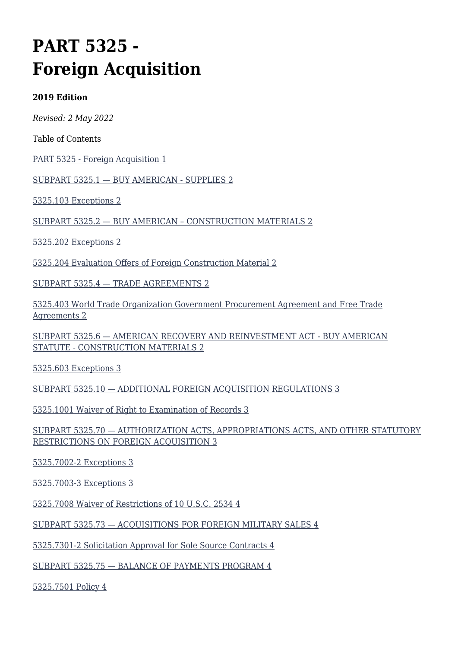# **PART 5325 - Foreign Acquisition**

#### **2019 Edition**

*Revised: 2 May 2022*

Table of Contents

[PART 5325 - Foreign Acquisition 1](#page--1-0)

[SUBPART 5325.1 — BUY AMERICAN - SUPPLIES 2](#page--1-0)

[5325.103 Exceptions 2](#page--1-0)

[SUBPART 5325.2 — BUY AMERICAN – CONSTRUCTION MATERIALS 2](#page--1-0)

[5325.202 Exceptions 2](#page--1-0)

[5325.204 Evaluation Offers of Foreign Construction Material 2](#page--1-0)

[SUBPART 5325.4 — TRADE AGREEMENTS 2](#page--1-0)

[5325.403 World Trade Organization Government Procurement Agreement and Free Trade](#page--1-0) [Agreements 2](#page--1-0)

[SUBPART 5325.6 — AMERICAN RECOVERY AND REINVESTMENT ACT - BUY AMERICAN](#page--1-0) [STATUTE - CONSTRUCTION MATERIALS 2](#page--1-0)

[5325.603 Exceptions 3](#page--1-0)

[SUBPART 5325.10 — ADDITIONAL FOREIGN ACQUISITION REGULATIONS 3](#page--1-0)

[5325.1001 Waiver of Right to Examination of Records 3](#page--1-0)

[SUBPART 5325.70 — AUTHORIZATION ACTS, APPROPRIATIONS ACTS, AND OTHER STATUTORY](#page--1-0) [RESTRICTIONS ON FOREIGN ACQUISITION 3](#page--1-0)

[5325.7002-2 Exceptions 3](#page--1-0)

[5325.7003-3 Exceptions 3](#page--1-0)

[5325.7008 Waiver of Restrictions of 10 U.S.C. 2534 4](#page--1-0)

[SUBPART 5325.73 — ACQUISITIONS FOR FOREIGN MILITARY SALES 4](#page--1-0)

[5325.7301-2 Solicitation Approval for Sole Source Contracts 4](#page--1-0)

[SUBPART 5325.75 — BALANCE OF PAYMENTS PROGRAM 4](#page--1-0)

[5325.7501 Policy 4](#page--1-0)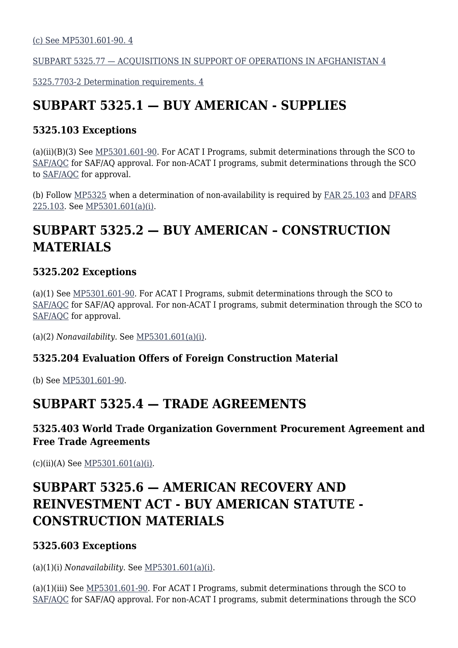[\(c\) See MP5301.601-90. 4](#page--1-0)

[SUBPART 5325.77 — ACQUISITIONS IN SUPPORT OF OPERATIONS IN AFGHANISTAN 4](#page--1-0)

[5325.7703-2 Determination requirements. 4](#page--1-0)

# **SUBPART 5325.1 — BUY AMERICAN - SUPPLIES**

#### **5325.103 Exceptions**

(a)(ii)(B)(3) See [MP5301.601-90.](https://origin-www.acquisition.gov/%5Brp:link:affars-mp-AFFARS-MP_PART-mp_5301.603-90%5D) For ACAT I Programs, submit determinations through the SCO to [SAF/AQC](mailto:SAF.AQ.SAF-AQC.Workflow@us.af.mil) for SAF/AQ approval. For non-ACAT I programs, submit determinations through the SCO to [SAF/AQC](mailto:SAF.AQ.SAF-AQC.Workflow@us.af.mil) for approval.

(b) Follow [MP5325](https://origin-www.acquisition.gov/%5Brp:link:affars-mp-mp_5325%5D) when a determination of non-availability is required by [FAR 25.103](https://www.acquisition.gov/far/part-25#FAR_25_103) and [DFARS](https://www.acquisition.gov/dfars/part-225-foreign-acquisition#DFARS-225.103) [225.103](https://www.acquisition.gov/dfars/part-225-foreign-acquisition#DFARS-225.103). See [MP5301.601\(a\)\(i\).](https://origin-www.acquisition.gov/%5Brp:link:affars-mp-AFFARS-MP_PART-mp_5301.601(a)(i)%5D#p5325103)

# **SUBPART 5325.2 — BUY AMERICAN – CONSTRUCTION MATERIALS**

#### **5325.202 Exceptions**

(a)(1) See [MP5301.601-90.](https://origin-www.acquisition.gov/%5Brp:link:affars-mp-file:///%5C%5Cperiwinkle_vnx%5Csaf_aqc_org%5CAQCP%5C5640%20-%20AFFARS%5CArchive%20--%20AFACs%5C!_Previous%20AFACs%5C2022%5C2022%20(01)%5C2.%20%20Changes%20Accepted%5Cmp_5301.603-90%5D) For ACAT I Programs, submit determinations through the SCO to [SAF/AQC](mailto:SAF.AQ.SAF-AQC.Workflow@us.af.mil) for SAF/AQ approval. For non-ACAT I programs, submit determination through the SCO to [SAF/AQC](mailto:SAF.AQ.SAF-AQC.Workflow@us.af.mil) for approval.

(a)(2) *Nonavailability.* See [MP5301.601\(a\)\(i\).](https://origin-www.acquisition.gov/%5Brp:link:affars-mp-AFFARS-MP_PART-mp_5301.601(a)(i)%5D#p5325202a2)

#### **5325.204 Evaluation Offers of Foreign Construction Material**

(b) See [MP5301.601-90](https://origin-www.acquisition.gov/%5Brp:link:affars-mp-file:///%5C%5Cperiwinkle_vnx%5Csaf_aqc_org%5CAQCP%5C5640%20-%20AFFARS%5CArchive%20--%20AFACs%5C!_Previous%20AFACs%5C2022%5C2022%20(01)%5C2.%20%20Changes%20Accepted%5Cmp_5301.603-90%5D).

### **SUBPART 5325.4 — TRADE AGREEMENTS**

#### **5325.403 World Trade Organization Government Procurement Agreement and Free Trade Agreements**

 $(c)(ii)(A)$  See [MP5301.601\(a\)\(i\).](https://origin-www.acquisition.gov/%5Brp:link:affars-mp-AFFARS-MP_PART-mp_5301.601(a)(i)%5D#p5325403ciiA)

# **SUBPART 5325.6 — AMERICAN RECOVERY AND REINVESTMENT ACT - BUY AMERICAN STATUTE - CONSTRUCTION MATERIALS**

#### **5325.603 Exceptions**

(a)(1)(i) *Nonavailability*. See [MP5301.601\(a\)\(i\).](https://origin-www.acquisition.gov/%5Brp:link:affars-mp-AFFARS-MP_PART-mp_5301.601(a)(i)%5D#p5325603A1i)

(a)(1)(iii) See [MP5301.601-90](https://origin-www.acquisition.gov/%5Brp:link:affars-mp-file:///%5C%5Cperiwinkle_vnx%5Csaf_aqc_org%5CAQCP%5C5640%20-%20AFFARS%5CArchive%20--%20AFACs%5C!_Previous%20AFACs%5C2022%5C2022%20(01)%5C2.%20%20Changes%20Accepted%5Cmp_5301.603-90%5D). For ACAT I Programs, submit determinations through the SCO to [SAF/AQC](mailto:SAF.AQ.SAF-AQC.Workflow@us.af.mil) for SAF/AQ approval. For non-ACAT I programs, submit determinations through the SCO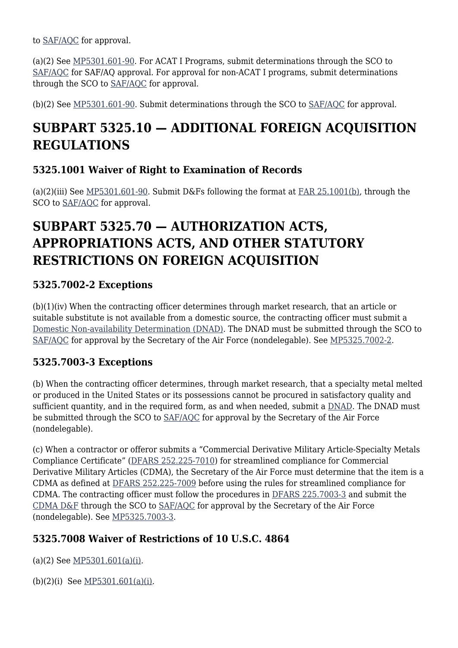to [SAF/AQC](mailto:SAF.AQ.SAF-AQC.Workflow@us.af.mil) for approval.

(a)(2) See [MP5301.601-90.](https://origin-www.acquisition.gov/%5Brp:link:affars-mp-file:///%5C%5Cperiwinkle_vnx%5Csaf_aqc_org%5CAQCP%5C5640%20-%20AFFARS%5CArchive%20--%20AFACs%5C!_Previous%20AFACs%5C2022%5C2022%20(01)%5C2.%20%20Changes%20Accepted%5Cmp_5301.603-90%5D) For ACAT I Programs, submit determinations through the SCO to [SAF/AQC](mailto:SAF.AQ.SAF-AQC.Workflow@us.af.mil) for SAF/AQ approval. For approval for non-ACAT I programs, submit determinations through the SCO to [SAF/AQC](mailto:SAF.AQ.SAF-AQC.Workflow@us.af.mil) for approval.

(b)(2) See  $MP5301.601-90$ . Submit determinations through the SCO to  $SAF/AOC$  for approval.

### **SUBPART 5325.10 — ADDITIONAL FOREIGN ACQUISITION REGULATIONS**

#### **5325.1001 Waiver of Right to Examination of Records**

(a)(2)(iii) See [MP5301.601-90](https://origin-www.acquisition.gov/%5Brp:link:affars-mp-file:///%5C%5Cperiwinkle_vnx%5Csaf_aqc_org%5CAQCP%5C5640%20-%20AFFARS%5CArchive%20--%20AFACs%5C!_Previous%20AFACs%5C2022%5C2022%20(01)%5C2.%20%20Changes%20Accepted%5Cmp_5301.603-90%5D). Submit D&Fs following the format at [FAR 25.1001\(b\)](https://www.acquisition.gov/far/part-25#FAR_25_1001), through the SCO to SAF/AOC for approval.

## **SUBPART 5325.70 — AUTHORIZATION ACTS, APPROPRIATIONS ACTS, AND OTHER STATUTORY RESTRICTIONS ON FOREIGN ACQUISITION**

#### **5325.7002-2 Exceptions**

(b)(1)(iv) When the contracting officer determines through market research, that an article or suitable substitute is not available from a domestic source, the contracting officer must submit a [Domestic Non-availability Determination \(DNAD\)](https://usaf.dps.mil/sites/AFCC/KnowledgeCenter/contracting_templates/determination_and_findings_02.pdf). The DNAD must be submitted through the SCO to [SAF/AQC](mailto:SAF.AQ.SAF-AQC.Workflow@us.af.mil) for approval by the Secretary of the Air Force (nondelegable). See [MP5325.7002-2](https://www.acquisition.gov/affars/mp5325.7002-2-exceptions).

#### **5325.7003-3 Exceptions**

(b) When the contracting officer determines, through market research, that a specialty metal melted or produced in the United States or its possessions cannot be procured in satisfactory quality and sufficient quantity, and in the required form, as and when needed, submit a [DNAD](https://usaf.dps.mil/sites/AFCC/KnowledgeCenter/contracting_templates/determination_and_findings_03.pdf). The DNAD must be submitted through the SCO to [SAF/AQC](mailto:SAF.AQ.SAF-AQC.Workflow@us.af.mil) for approval by the Secretary of the Air Force (nondelegable).

(c) When a contractor or offeror submits a "Commercial Derivative Military Article-Specialty Metals Compliance Certificate" [\(DFARS 252.225-7010](https://www.acquisition.gov/dfars/part-252-solicitation-provisions-and-contract-clauses#DFARS-252.225-7010)) for streamlined compliance for Commercial Derivative Military Articles (CDMA), the Secretary of the Air Force must determine that the item is a CDMA as defined at [DFARS 252.225-7009](https://www.acquisition.gov/dfars/part-252-solicitation-provisions-and-contract-clauses#DFARS-252.225-7009) before using the rules for streamlined compliance for CDMA. The contracting officer must follow the procedures in [DFARS 225.7003-3](https://www.acquisition.gov/dfars/part-225-foreign-acquisition#DFARS-225.7003-3) and submit the [CDMA D&F](https://cs2.eis.af.mil/sites/10059/afcc/knowledge_center/templates/determination_and_findings_01.pdf) through the SCO to [SAF/AQC](mailto:SAF.AQ.SAF-AQC.Workflow@us.af.mil) for approval by the Secretary of the Air Force (nondelegable). See [MP5325.7003-3.](https://origin-www.acquisition.gov/%5Brp:link:affars-mp-AFFARS-MP_PART-mp_5325.7003-3%5D)

#### **5325.7008 Waiver of Restrictions of 10 U.S.C. 4864**

(a)(2) See [MP5301.601\(a\)\(i\)](https://origin-www.acquisition.gov/%5Brp:link:affars-mp-AFFARS-MP_PART-mp_5301.601(a)(i)%5D#p53257008a2).

(b)(2)(i) See [MP5301.601\(a\)\(i\).](https://origin-www.acquisition.gov/%5Brp:link:affars-mp-AFFARS-MP_PART-mp_5301.601(a)(i)%5D)